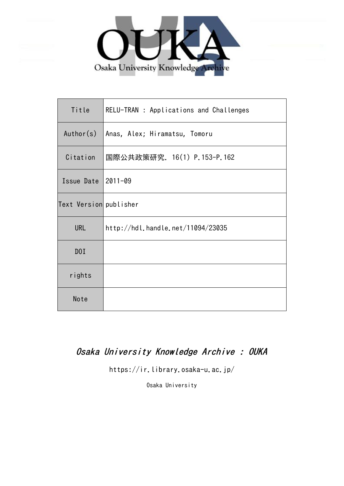

| Title                  | RELU-TRAN : Applications and Challenges |
|------------------------|-----------------------------------------|
| Author(s)              | Anas, Alex; Hiramatsu, Tomoru           |
| Citation               | 国際公共政策研究. 16(1) P.153-P.162             |
| Issue Date $ 2011-09$  |                                         |
| Text Version publisher |                                         |
| <b>URL</b>             | http://hdl.handle.net/11094/23035       |
| D0I                    |                                         |
| rights                 |                                         |
| Note                   |                                         |

# Osaka University Knowledge Archive : OUKA

https://ir.library.osaka-u.ac.jp/

Osaka University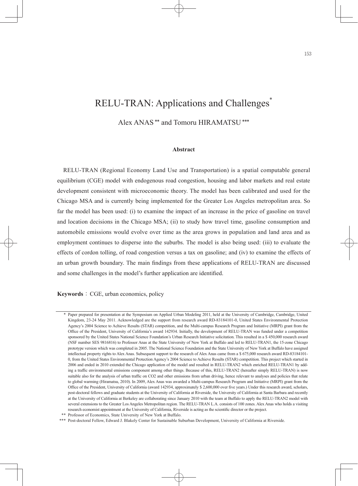## RELU-TRAN: Applications and Challenges<sup>\*</sup>

## Alex ANAS \*\* and Tomoru HIRAMATSU \*\*\*

#### **Abstract**

RELU-TRAN (Regional Economy Land Use and Transportation) is a spatial computable general equilibrium (CGE) model with endogenous road congestion, housing and labor markets and real estate development consistent with microeconomic theory. The model has been calibrated and used for the Chicago MSA and is currently being implemented for the Greater Los Angeles metropolitan area. So far the model has been used: (i) to examine the impact of an increase in the price of gasoline on travel and location decisions in the Chicago MSA; (ii) to study how travel time, gasoline consumption and automobile emissions would evolve over time as the area grows in population and land area and as employment continues to disperse into the suburbs. The model is also being used: (iii) to evaluate the effects of cordon tolling, of road congestion versus a tax on gasoline; and (iv) to examine the effects of an urban growth boundary. The main findings from these applications of RELU-TRAN are discussed and some challenges in the model's further application are identified.

#### **Keywords**: CGE, urban economics, policy

 <sup>\*</sup> Paper prepared for presentation at the Symposium on Applied Urban Modeling 2011, held at the University of Cambridge, Cambridge, United Kingdom, 23-24 May 2011. Acknowledged are the support from research award RD-83184101-0, United States Environmental Protection Agency's 2004 Science to Achieve Results (STAR) competition, and the Multi-campus Research Program and Initiative (MRPI) grant from the Office of the President, University of California's award 142934. Initially, the development of RELU-TRAN was funded under a competition sponsored by the United States National Science Foundation's Urban Research Initiative solicitation. This resulted in a \$ 450,000 research award (NSF number SES 9816816) to Professor Anas at the State University of New York at Buffalo and led to RELU-TRAN1, the 15-zone Chicago prototype version which was completed in 2005. The National Science Foundation and the State University of New York at Buffalo have assigned intellectual property rights to Alex Anas. Subsequent support to the research of Alex Anas came from a \$ 675,000 research award RD-83184101- 0, from the United States Environmental Protection Agency's 2004 Science to Achieve Results (STAR) competition. This project which started in 2006 and ended in 2010 extended the Chicago application of the model and resulted in RELU-TRAN2 which enriched RELU-TRAN1 by adding a traffic environmental emissions component among other things. Because of this, RELU-TRAN2 (hereafter simply RELU-TRAN) is now suitable also for the analysis of urban traffic on CO2 and other emissions from urban driving, hence relevant to analyses and policies that relate to global warming (Hiramatsu, 2010). In 2009, Alex Anas was awarded a Multi-campus Research Program and Initiative (MRPI) grant from the Office of the President, University of California (award 142934, approximately \$ 2,600,000 over five years.) Under this research award, scholars, post-doctoral fellows and graduate students at the University of California at Riverside, the University of California at Santa Barbara and recently at the University of California at Berkeley are collaborating since January 2010 with the team at Buffalo to apply the RELU-TRAN2 model with several extensions to the Greater Los Angeles Metropolitan region. The RELU-TRAN L.A. consists of 100 zones. Alex Anas who holds a visiting research economist appointment at the University of California, Riverside is acting as the scientific director or the project.

 <sup>\*\*</sup> Professor of Economics, State University of New York at Buffalo.

<sup>\*\*\*</sup> Post-doctoral Fellow, Edward J. Blakely Center for Sustainable Suburban Development, University of California at Riverside.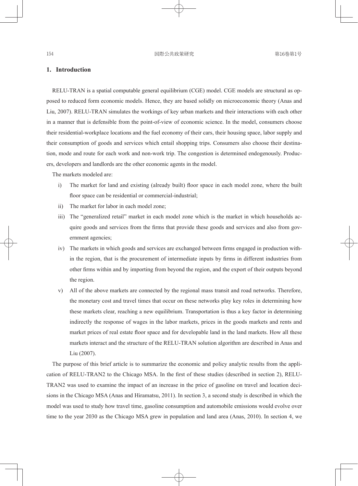## **1. Introduction**

RELU-TRAN is a spatial computable general equilibrium (CGE) model. CGE models are structural as opposed to reduced form economic models. Hence, they are based solidly on microeconomic theory (Anas and Liu, 2007). RELU-TRAN simulates the workings of key urban markets and their interactions with each other in a manner that is defensible from the point-of-view of economic science. In the model, consumers choose their residential-workplace locations and the fuel economy of their cars, their housing space, labor supply and their consumption of goods and services which entail shopping trips. Consumers also choose their destination, mode and route for each work and non-work trip. The congestion is determined endogenously. Producers, developers and landlords are the other economic agents in the model.

The markets modeled are:

- i) The market for land and existing (already built) floor space in each model zone, where the built floor space can be residential or commercial-industrial;
- ii) The market for labor in each model zone;
- iii) The "generalized retail" market in each model zone which is the market in which households acquire goods and services from the firms that provide these goods and services and also from government agencies;
- iv) The markets in which goods and services are exchanged between firms engaged in production within the region, that is the procurement of intermediate inputs by firms in different industries from other firms within and by importing from beyond the region, and the export of their outputs beyond the region.
- v) All of the above markets are connected by the regional mass transit and road networks. Therefore, the monetary cost and travel times that occur on these networks play key roles in determining how these markets clear, reaching a new equilibrium. Transportation is thus a key factor in determining indirectly the response of wages in the labor markets, prices in the goods markets and rents and market prices of real estate floor space and for developable land in the land markets. How all these markets interact and the structure of the RELU-TRAN solution algorithm are described in Anas and Liu (2007).

The purpose of this brief article is to summarize the economic and policy analytic results from the application of RELU-TRAN2 to the Chicago MSA. In the first of these studies (described in section 2), RELU-TRAN2 was used to examine the impact of an increase in the price of gasoline on travel and location decisions in the Chicago MSA (Anas and Hiramatsu, 2011). In section 3, a second study is described in which the model was used to study how travel time, gasoline consumption and automobile emissions would evolve over time to the year 2030 as the Chicago MSA grew in population and land area (Anas, 2010). In section 4, we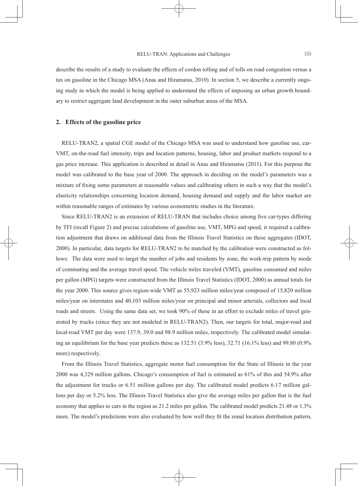describe the results of a study to evaluate the effects of cordon tolling and of tolls on road congestion versus a tax on gasoline in the Chicago MSA (Anas and Hiramatsu, 2010). In section 5, we describe a currently ongoing study in which the model is being applied to understand the effects of imposing an urban growth boundary to restrict aggregate land development in the outer suburban areas of the MSA.

## **2. Effects of the gasoline price**

RELU-TRAN2, a spatial CGE model of the Chicago MSA was used to understand how gasoline use, car-VMT, on-the-road fuel intensity, trips and location patterns, housing, labor and product markets respond to a gas price increase. This application is described in detail in Anas and Hiramatsu (2011). For this purpose the model was calibrated to the base year of 2000. The approach in deciding on the model's parameters was a mixture of fixing some parameters at reasonable values and calibrating others in such a way that the model's elasticity relationships concerning location demand, housing demand and supply and the labor market are within reasonable ranges of estimates by various econometric studies in the literature.

Since RELU-TRAN2 is an extension of RELU-TRAN that includes choice among five car-types differing by TFI (recall Figure 2) and precise calculations of gasoline use, VMT, MPG and speed, it required a calibration adjustment that draws on additional data from the Illinois Travel Statistics on these aggregates (IDOT, 2000). In particular, data targets for RELU-TRAN2 to be matched by the calibration were constructed as follows: The data were used to target the number of jobs and residents by zone, the work-trip pattern by mode of commuting and the average travel speed. The vehicle miles traveled (VMT), gasoline consumed and miles per gallon (MPG) targets were constructed from the Illinois Travel Statistics (IDOT, 2000) as annual totals for the year 2000. This source gives region-wide VMT as 55,923 million miles/year composed of 15,820 million miles/year on interstates and 40,103 million miles/year on principal and minor arterials, collectors and local roads and streets. Using the same data set, we took 90% of these in an effort to exclude miles of travel generated by trucks (since they are not modeled in RELU-TRAN2). Then, our targets for total, major-road and local-road VMT per day were 137.9, 39.0 and 98.9 million miles, respectively. The calibrated model simulating an equilibrium for the base year predicts these as 132.51 (3.9% less), 32.71 (16.1% less) and 99.80 (0.9% more) respectively.

From the Illinois Travel Statistics, aggregate motor fuel consumption for the State of Illinois in the year 2000 was 4,329 million gallons. Chicago's consumption of fuel is estimated as 61% of this and 54.9% after the adjustment for trucks or 6.51 million gallons per day. The calibrated model predicts 6.17 million gallons per day or 5.2% less. The Illinois Travel Statistics also give the average miles per gallon that is the fuel economy that applies to cars in the region as 21.2 miles per gallon. The calibrated model predicts 21.48 or 1.3% more. The model's predictions were also evaluated by how well they fit the zonal location distribution pattern,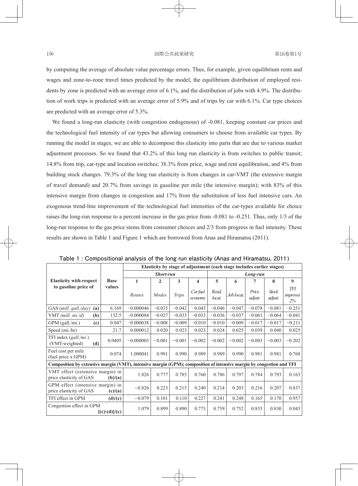by computing the average of absolute value percentage errors. Thus, for example, given equilibrium rents and wages and zone-to-zone travel times predicted by the model, the equilibrium distribution of employed residents by zone is predicted with an average error of 6.1%, and the distribution of jobs with 4.9%. The distribution of work trips is predicted with an average error of 5.9% and of trips by car with 6.1%. Car type choices are predicted with an average error of 5.3%.

We found a long-run elasticity (with congestion endogenous) of  $-0.081$ , keeping constant car prices and the technological fuel intensity of car types but allowing consumers to choose from available car types. By running the model in stages, we are able to decompose this elasticity into parts that are due to various market adjustment processes. So we found that 43.2% of this long run elasticity is from switches to public transit; 14.8% from trip, car-type and location switches; 38.3% from price, wage and rent equilibration, and 4% from building stock changes. 79.3% of the long run elasticity is from changes in car-VMT (the extensive margin of travel demand) and 20.7% from savings in gasoline per mile (the intensive margin); with 83% of this intensive margin from changes in congestion and 17% from the substitution of less fuel intensive cars. An exogenous trend-line improvement of the technological fuel intensities of the car-types available for choice raises the long-run response to a percent increase in the gas price from -0.081 to -0.251. Thus, only 1/3 of the long-run response to the gas price stems from consumer choices and  $2/3$  from progress in fuel intensity. These results are shown in Table 1 and Figure 1 which are borrowed from Anas and Hiramatsu (2011).

|                                                                                                                      |             | Elasticity by stage of adjustment (each stage includes earlier stages) |              |          |                         |                  |            |                  |                  |                          |  |
|----------------------------------------------------------------------------------------------------------------------|-------------|------------------------------------------------------------------------|--------------|----------|-------------------------|------------------|------------|------------------|------------------|--------------------------|--|
|                                                                                                                      |             | Short-run                                                              |              |          |                         | Long-run         |            |                  |                  |                          |  |
| <b>Elasticity with respect</b>                                                                                       | <b>Base</b> | 1                                                                      | $\mathbf{2}$ | 3        | $\overline{\mathbf{4}}$ | $\overline{5}$   | 6          |                  | 8                | 9                        |  |
| to gasoline price of                                                                                                 | values      | Routes                                                                 | Modes        | Trips    | Car fuel<br>economy     | Resid.<br>locat. | Job locat. | Price<br>adjust. | Stock<br>adjust. | TFI<br>improves<br>$2\%$ |  |
| GAS (mill. gall./day)<br>(a)                                                                                         | 6.169       | $-0.000046$                                                            | $-0.035$     | $-0.042$ | $-0.043$                | $-0.046$         | $-0.047$   | $-0.078$         | $-0.081$         | $-0.251$                 |  |
| VMT $(mill. mi./d)$<br>(b)                                                                                           | 132.5       | $-0.000084$                                                            | $-0.027$     | $-0.033$ | $-0.033$                | $-0.036$         | $-0.037$   | $-0.061$         | $-0.064$         | $-0.041$                 |  |
| $GPM$ (gall./mi.)<br>(c)                                                                                             | 0.047       | $-0.000038$                                                            | $-0.008$     | $-0.009$ | $-0.010$                | $-0.010$         | $-0.009$   | $-0.017$         | $-0.017$         | $-0.211$                 |  |
| Speed (mi./hr)                                                                                                       | 21.7        | 0.000012                                                               | 0.020        | 0.023    | 0.023                   | 0.024            | 0.025      | 0.039            | 0.040            | 0.025                    |  |
| TFI index $(gall./mi.)$<br>(VMT-weighted)<br>(d)                                                                     | 0.0405      | $-0.000003$                                                            | $-0.001$     | $-0.001$ | $-0.002$                | $-0.002$         | $-0.002$   | $-0.003$         | $-0.003$         | $-0.202$                 |  |
| Fuel cost per mile<br>(fuel price x GPM)                                                                             | 0.074       | 1.000041                                                               | 0.991        | 0.990    | 0.989                   | 0.989            | 0.990      | 0.981            | 0.981            | 0.768                    |  |
| Composition by extensive margin (VMT), intensive margin (GPM); composition of intensive margin by congestion and TFI |             |                                                                        |              |          |                         |                  |            |                  |                  |                          |  |
| VMT effect (extensive margin) in<br>price elasticity of GAS<br>(b)/(a)                                               |             | 1.826                                                                  | 0.777        | 0.785    | 0.760                   | 0.786            | 0.797      | 0.784            | 0.793            | 0.163                    |  |
| GPM effect (intensive margin) in<br>price elasticity of GAS<br>(c)/(a)                                               |             | $-0.826$                                                               | 0.223        | 0.215    | 0.240                   | 0.214            | 0.203      | 0.216            | 0.207            | 0.837                    |  |
| TFI effect in GPM                                                                                                    | (d)/(c)     | $-0.079$                                                               | 0.101        | 0.110    | 0.227                   | 0.241            | 0.248      | 0.165            | 0.170            | 0.957                    |  |
| Congestion effect in GPM<br>$[(c)-(d)]/(c)$                                                                          |             | 1.079                                                                  | 0.899        | 0.890    | 0.773                   | 0.759            | 0.752      | 0.835            | 0.830            | 0.043                    |  |

**Table 1 : Compositional analysis of the long run elasticity (Anas and Hiramatsu, 2011)**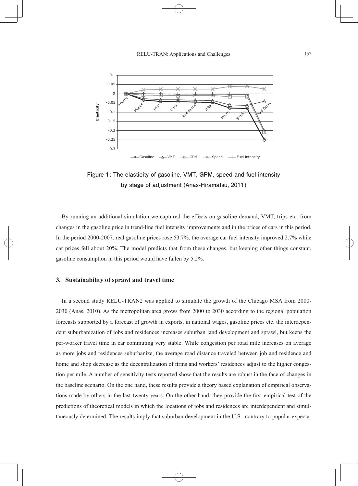

**Figure 1: The elasticity of gasoline, VMT, GPM, speed and fuel intensity by stage of adjustment (Anas-Hiramatsu, 2011)**

By running an additional simulation we captured the effects on gasoline demand, VMT, trips etc. from changes in the gasoline price in trend-line fuel intensity improvements and in the prices of cars in this period. In the period 2000-2007, real gasoline prices rose 53.7%, the average car fuel intensity improved 2.7% while car prices fell about 20%. The model predicts that from these changes, but keeping other things constant, gasoline consumption in this period would have fallen by 5.2%.

#### **3. Sustainability of sprawl and travel time**

In a second study RELU-TRAN2 was applied to simulate the growth of the Chicago MSA from 2000- 2030 (Anas, 2010). As the metropolitan area grows from 2000 to 2030 according to the regional population forecasts supported by a forecast of growth in exports, in national wages, gasoline prices etc. the interdependent suburbanization of jobs and residences increases suburban land development and sprawl, but keeps the per-worker travel time in car commuting very stable. While congestion per road mile increases on average as more jobs and residences suburbanize, the average road distance traveled between job and residence and home and shop decrease as the decentralization of firms and workers' residences adjust to the higher congestion per mile. A number of sensitivity tests reported show that the results are robust in the face of changes in the baseline scenario. On the one hand, these results provide a theory based explanation of empirical observations made by others in the last twenty years. On the other hand, they provide the first empirical test of the predictions of theoretical models in which the locations of jobs and residences are interdependent and simultaneously determined. The results imply that suburban development in the U.S., contrary to popular expecta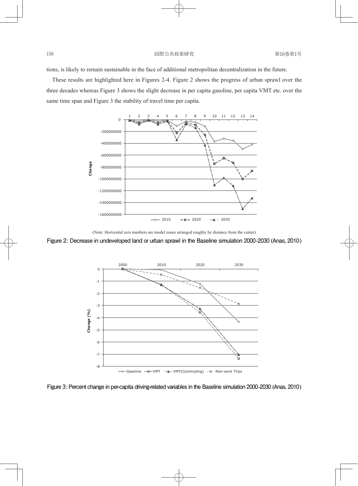tions, is likely to remain sustainable in the face of additional metropolitan decentralization in the future.

These results are highlighted here in Figures 2-4. Figure 2 shows the progress of urban sprawl over the three decades whereas Figure 3 shows the slight decrease in per capita gasoline, per capita VMT etc. over the same time span and Figure 3 the stability of travel time per capita.



(Note: Horizontal axis numbers are model zones arranged roughly by distance from the center)

**Figure 2: Decrease in undeveloped land or urban sprawl in the Baseline simulation 2000-2030 (Anas, 2010)**



**Figure 3: Percent change in per-capita driving-related variables in the Baseline simulation 2000-2030 (Anas, 2010)**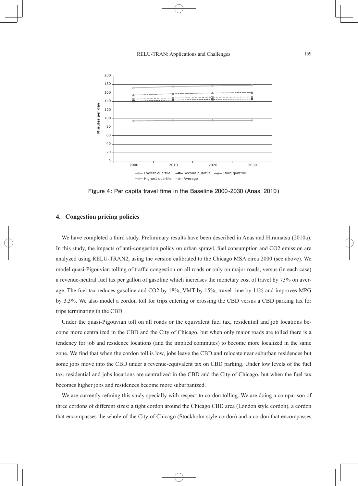

**Figure 4: Per capita travel time in the Baseline 2000-2030 (Anas, 2010)**

## **4. Congestion pricing policies**

We have completed a third study. Preliminary results have been described in Anas and Hiramatsu (2010a). In this study, the impacts of anti-congestion policy on urban sprawl, fuel consumption and CO2 emission are analyzed using RELU-TRAN2, using the version calibrated to the Chicago MSA circa 2000 (see above). We model quasi-Pigouvian tolling of traffic congestion on all roads or only on major roads, versus (in each case) a revenue-neutral fuel tax per gallon of gasoline which increases the monetary cost of travel by 73% on average. The fuel tax reduces gasoline and CO2 by 18%, VMT by 15%, travel time by 11% and improves MPG by 3.3%. We also model a cordon toll for trips entering or crossing the CBD versus a CBD parking tax for trips terminating in the CBD.

Under the quasi-Pigouvian toll on all roads or the equivalent fuel tax, residential and job locations become more centralized in the CBD and the City of Chicago, but when only major roads are tolled there is a tendency for job and residence locations (and the implied commutes) to become more localized in the same zone. We find that when the cordon toll is low, jobs leave the CBD and relocate near suburban residences but some jobs move into the CBD under a revenue-equivalent tax on CBD parking. Under low levels of the fuel tax, residential and jobs locations are centralized in the CBD and the City of Chicago, but when the fuel tax becomes higher jobs and residences become more suburbanized.

We are currently refining this study specially with respect to cordon tolling. We are doing a comparison of three cordons of different sizes: a tight cordon around the Chicago CBD area (London style cordon), a cordon that encompasses the whole of the City of Chicago (Stockholm style cordon) and a cordon that encompasses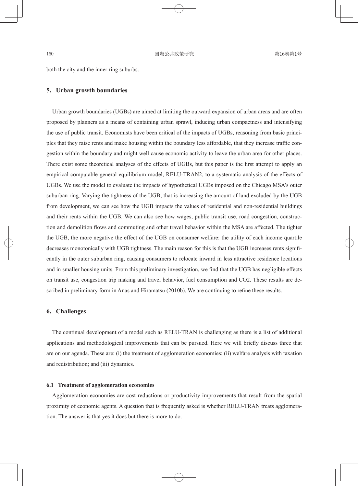both the city and the inner ring suburbs.

## **5. Urban growth boundaries**

Urban growth boundaries (UGBs) are aimed at limiting the outward expansion of urban areas and are often proposed by planners as a means of containing urban sprawl, inducing urban compactness and intensifying the use of public transit. Economists have been critical of the impacts of UGBs, reasoning from basic principles that they raise rents and make housing within the boundary less affordable, that they increase traffic congestion within the boundary and might well cause economic activity to leave the urban area for other places. There exist some theoretical analyses of the effects of UGBs, but this paper is the first attempt to apply an empirical computable general equilibrium model, RELU-TRAN2, to a systematic analysis of the effects of UGBs. We use the model to evaluate the impacts of hypothetical UGBs imposed on the Chicago MSA's outer suburban ring. Varying the tightness of the UGB, that is increasing the amount of land excluded by the UGB from development, we can see how the UGB impacts the values of residential and non-residential buildings and their rents within the UGB. We can also see how wages, public transit use, road congestion, construction and demolition flows and commuting and other travel behavior within the MSA are affected. The tighter the UGB, the more negative the effect of the UGB on consumer welfare: the utility of each income quartile decreases monotonically with UGB tightness. The main reason for this is that the UGB increases rents significantly in the outer suburban ring, causing consumers to relocate inward in less attractive residence locations and in smaller housing units. From this preliminary investigation, we find that the UGB has negligible effects on transit use, congestion trip making and travel behavior, fuel consumption and CO2. These results are described in preliminary form in Anas and Hiramatsu (2010b). We are continuing to refine these results.

### **6. Challenges**

The continual development of a model such as RELU-TRAN is challenging as there is a list of additional applications and methodological improvements that can be pursued. Here we will briefly discuss three that are on our agenda. These are: (i) the treatment of agglomeration economies; (ii) welfare analysis with taxation and redistribution; and (iii) dynamics.

#### **6.1 Treatment of agglomeration economies**

Agglomeration economies are cost reductions or productivity improvements that result from the spatial proximity of economic agents. A question that is frequently asked is whether RELU-TRAN treats agglomeration. The answer is that yes it does but there is more to do.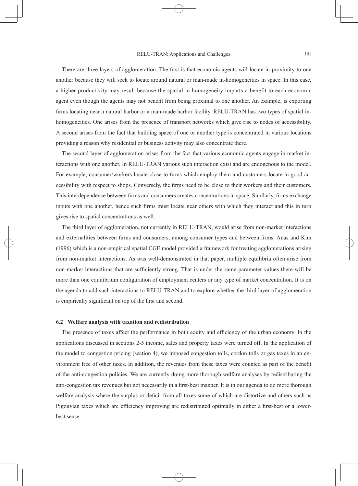There are three layers of agglomeration. The first is that economic agents will locate in proximity to one another because they will seek to locate around natural or man-made in-homogeneities in space. In this case, a higher productivity may result because the spatial in-homogeneity imparts a benefit to each economic agent even though the agents may not benefit from being proximal to one another. An example, is exporting firms locating near a natural harbor or a man-made harbor facility. RELU-TRAN has two types of spatial inhomogeneities. One arises from the presence of transport networks which give rise to nodes of accessibility. A second arises from the fact that building space of one or another type is concentrated in various locations providing a reason why residential or business activity may also concentrate there.

The second layer of agglomeration arises from the fact that various economic agents engage in market interactions with one another. In RELU-TRAN various such interaction exist and are endogenous to the model. For example, consumer/workers locate close to firms which employ them and customers locate in good accessibility with respect to shops. Conversely, the firms need to be close to their workers and their customers. This interdependence between firms and consumers creates concentrations in space. Similarly, firms exchange inputs with one another, hence such firms must locate near others with which they interact and this in turn gives rise to spatial concentrations as well.

The third layer of agglomeration, not currently in RELU-TRAN, would arise from non-market interactions and externalities between firms and consumers, among consumer types and between firms. Anas and Kim (1996) which is a non-empirical spatial CGE model provided a framework for treating agglomerations arising from non-market interactions. As was well-demonstrated in that paper, multiple equilibria often arise from non-market interactions that are sufficiently strong. That is under the same parameter values there will be more than one equilibrium configuration of employment centers or any type of market concentration. It is on the agenda to add such interactions to RELU-TRAN and to explore whether the third layer of agglomeration is empirically significant on top of the first and second.

#### **6.2 Welfare analysis with taxation and redistribution**

The presence of taxes affect the performance in both equity and efficiency of the urban economy. In the applications discussed in sections 2-5 income, sales and property taxes were turned off. In the application of the model to congestion pricing (section 4), we imposed congestion tolls, cordon tolls or gas taxes in an environment free of other taxes. In addition, the revenues from these taxes were counted as part of the benefit of the anti-congestion policies. We are currently doing more thorough welfare analyses by redistributing the anti-congestion tax revenues but not necessarily in a first-best manner. It is in our agenda to do more thorough welfare analysis where the surplus or deficit from all taxes some of which are distortive and others such as Pigouvian taxes which are efficiency improving are redistributed optimally in either a first-best or a lowerbest sense.